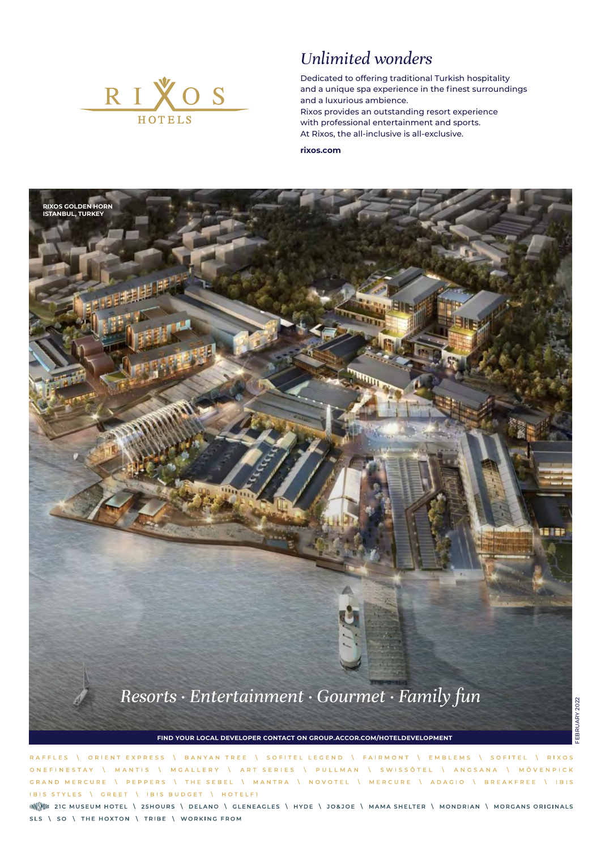

## *Unlimited wonders*

Dedicated to offering traditional Turkish hospitality and a unique spa experience in the finest surroundings and a luxurious ambience. Rixos provides an outstanding resort experience with professional entertainment and sports. At Rixos, the all-inclusive is all-exclusive.

**rixos.com**



**FIND YOUR LOCAL DEVELOPER CONTACT ON GROUP.ACCOR.COM/HOTELDEVELOPMENT**

RAFFLES \ ORIENT EXPRESS \ BANYAN TREE \ SOFITEL LEGEND \ FAIRMONT \ EMBLEMS \ SOFITEL \ RIXOS ONEFINESTAY \ MANTIS \ MGALLERY \ ART SERIES \ PULLMAN \ SWISSÔTEL \ ANGSANA \ MÖVENPICK \ PEPPERS \ THE SEBEL \ MANTRA \ NOVOTEL \ MERCURE \ ADAGIO \ BREAKFREE \ IBIS GRAND MERCURE IBIS STYLES \ GREET \ IBIS BUDGET \ HOTELFI

ENNINE 21C MUSEUM HOTEL \ 25HOURS \ DELANO \ GLENEAGLES \ HYDE \ JO&JOE \ MAMA SHELTER \ MONDRIAN \ MORGANS ORIGINALS SLS \ SO \ THE HOXTON \ TRIBE \ WORKING FROM